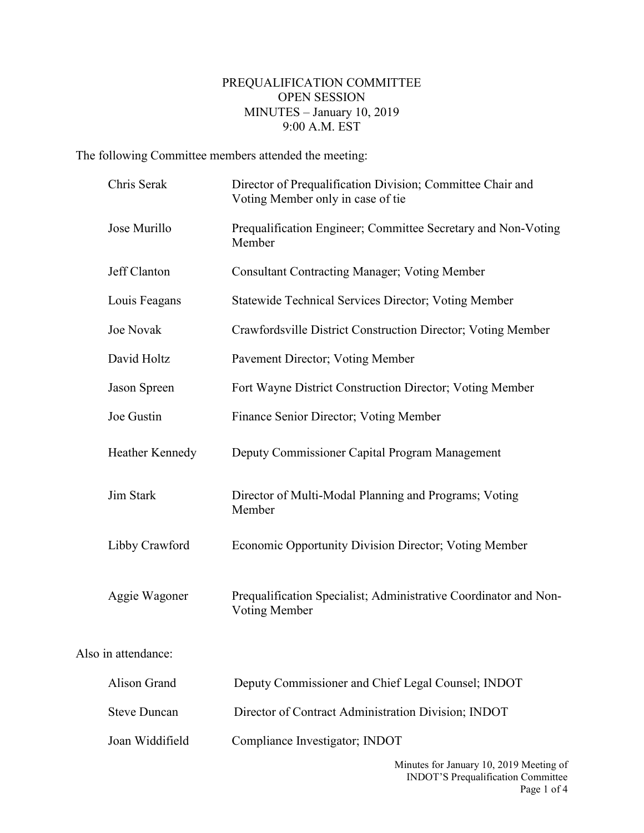## PREQUALIFICATION COMMITTEE OPEN SESSION MINUTES – January 10, 2019 9:00 A.M. EST

The following Committee members attended the meeting:

Also

| Chris Serak         | Director of Prequalification Division; Committee Chair and<br>Voting Member only in case of tie |
|---------------------|-------------------------------------------------------------------------------------------------|
| Jose Murillo        | Prequalification Engineer; Committee Secretary and Non-Voting<br>Member                         |
| Jeff Clanton        | <b>Consultant Contracting Manager; Voting Member</b>                                            |
| Louis Feagans       | <b>Statewide Technical Services Director; Voting Member</b>                                     |
| <b>Joe Novak</b>    | Crawfordsville District Construction Director; Voting Member                                    |
| David Holtz         | Pavement Director; Voting Member                                                                |
| Jason Spreen        | Fort Wayne District Construction Director; Voting Member                                        |
| Joe Gustin          | Finance Senior Director; Voting Member                                                          |
| Heather Kennedy     | Deputy Commissioner Capital Program Management                                                  |
| Jim Stark           | Director of Multi-Modal Planning and Programs; Voting<br>Member                                 |
| Libby Crawford      | <b>Economic Opportunity Division Director; Voting Member</b>                                    |
| Aggie Wagoner       | Prequalification Specialist; Administrative Coordinator and Non-<br>Voting Member               |
| in attendance:      |                                                                                                 |
| <b>Alison Grand</b> | Deputy Commissioner and Chief Legal Counsel; INDOT                                              |
| <b>Steve Duncan</b> | Director of Contract Administration Division; INDOT                                             |
| Joan Widdifield     | Compliance Investigator; INDOT                                                                  |
|                     |                                                                                                 |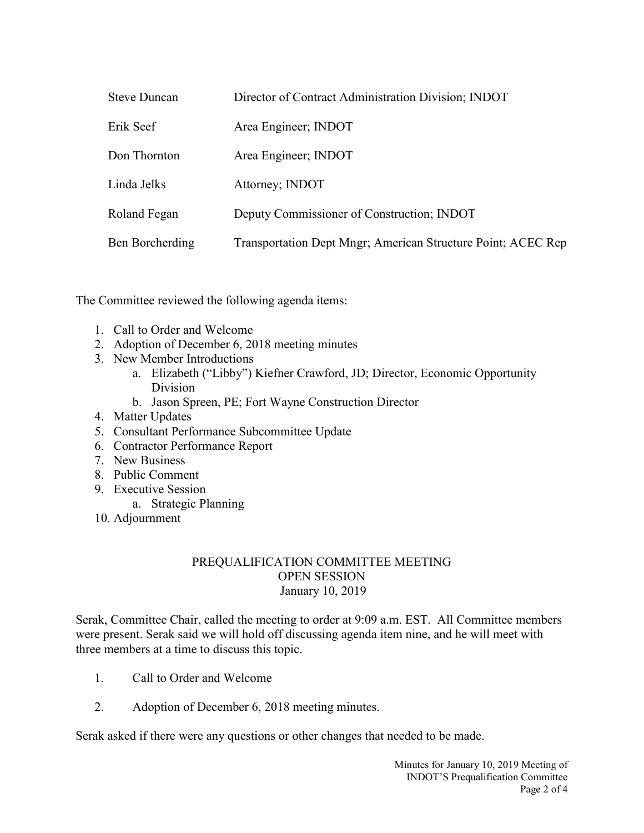| <b>Steve Duncan</b> | Director of Contract Administration Division; INDOT          |
|---------------------|--------------------------------------------------------------|
| Erik Seef           | Area Engineer; INDOT                                         |
| Don Thornton        | Area Engineer; INDOT                                         |
| Linda Jelks         | Attorney; INDOT                                              |
| Roland Fegan        | Deputy Commissioner of Construction; INDOT                   |
| Ben Borcherding     | Transportation Dept Mngr; American Structure Point; ACEC Rep |

The Committee reviewed the following agenda items:

- 1. Call to Order and Welcome
- 2. Adoption of December 6, 2018 meeting minutes
- 3. New Member Introductions
	- a. Elizabeth ("Libby") Kiefner Crawford, JD; Director, Economic Opportunity Division
	- b. Jason Spreen, PE; Fort Wayne Construction Director
- 4. Matter Updates
- 5. Consultant Performance Subcommittee Update
- 6. Contractor Performance Report
- 7. New Business
- 8. Public Comment
- 9. Executive Session
	- a. Strategic Planning
- 10. Adjournment

## PREQUALIFICATION COMMITTEE MEETING OPEN SESSION January 10, 2019

Serak, Committee Chair, called the meeting to order at 9:09 a.m. EST. All Committee members were present. Serak said we will hold off discussing agenda item nine, and he will meet with three members at a time to discuss this topic.

- 1. Call to Order and Welcome
- 2. Adoption of December 6, 2018 meeting minutes.

Serak asked if there were any questions or other changes that needed to be made.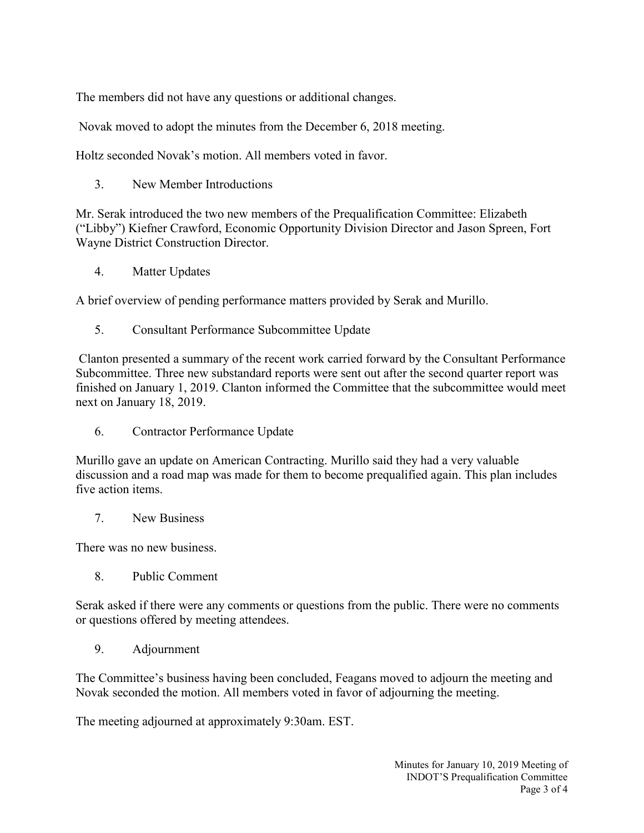The members did not have any questions or additional changes.

Novak moved to adopt the minutes from the December 6, 2018 meeting.

Holtz seconded Novak's motion. All members voted in favor.

3. New Member Introductions

Mr. Serak introduced the two new members of the Prequalification Committee: Elizabeth ("Libby") Kiefner Crawford, Economic Opportunity Division Director and Jason Spreen, Fort Wayne District Construction Director.

4. Matter Updates

A brief overview of pending performance matters provided by Serak and Murillo.

5. Consultant Performance Subcommittee Update

Clanton presented a summary of the recent work carried forward by the Consultant Performance Subcommittee. Three new substandard reports were sent out after the second quarter report was finished on January 1, 2019. Clanton informed the Committee that the subcommittee would meet next on January 18, 2019.

6. Contractor Performance Update

Murillo gave an update on American Contracting. Murillo said they had a very valuable discussion and a road map was made for them to become prequalified again. This plan includes five action items.

7. New Business

There was no new business.

8. Public Comment

Serak asked if there were any comments or questions from the public. There were no comments or questions offered by meeting attendees.

9. Adjournment

The Committee's business having been concluded, Feagans moved to adjourn the meeting and Novak seconded the motion. All members voted in favor of adjourning the meeting.

The meeting adjourned at approximately 9:30am. EST.